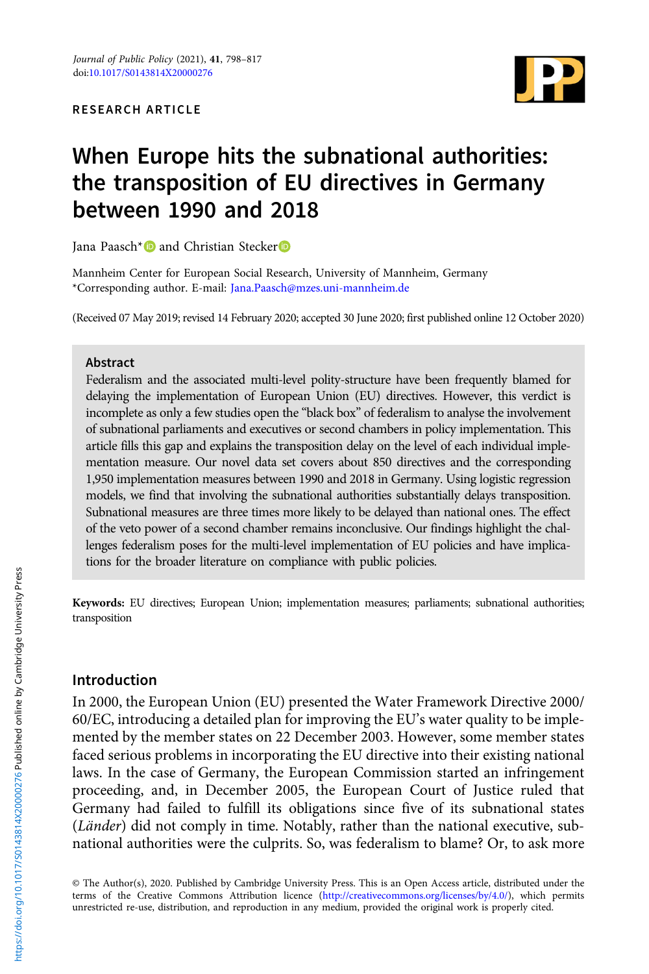

# When Europe hits the subnational authorities: the transposition of EU directives in Germany between 1990 and 2018

Iana Paasch<sup>\*</sup> and Christian Stecker<sup>D</sup>

Mannheim Center for European Social Research, University of Mannheim, Germany \*Corresponding author. E-mail: [Jana.Paasch@mzes.uni-mannheim.de](mailto:Jana.Paasch@mzes.uni-mannheim.de)

(Received 07 May 2019; revised 14 February 2020; accepted 30 June 2020; first published online 12 October 2020)

#### Abstract

Federalism and the associated multi-level polity-structure have been frequently blamed for delaying the implementation of European Union (EU) directives. However, this verdict is incomplete as only a few studies open the "black box" of federalism to analyse the involvement of subnational parliaments and executives or second chambers in policy implementation. This article fills this gap and explains the transposition delay on the level of each individual implementation measure. Our novel data set covers about 850 directives and the corresponding 1,950 implementation measures between 1990 and 2018 in Germany. Using logistic regression models, we find that involving the subnational authorities substantially delays transposition. Subnational measures are three times more likely to be delayed than national ones. The effect of the veto power of a second chamber remains inconclusive. Our findings highlight the challenges federalism poses for the multi-level implementation of EU policies and have implications for the broader literature on compliance with public policies.

Keywords: EU directives; European Union; implementation measures; parliaments; subnational authorities; transposition

# Introduction

In 2000, the European Union (EU) presented the Water Framework Directive 2000/ 60/EC, introducing a detailed plan for improving the EU's water quality to be implemented by the member states on 22 December 2003. However, some member states faced serious problems in incorporating the EU directive into their existing national laws. In the case of Germany, the European Commission started an infringement proceeding, and, in December 2005, the European Court of Justice ruled that Germany had failed to fulfill its obligations since five of its subnational states (Länder) did not comply in time. Notably, rather than the national executive, subnational authorities were the culprits. So, was federalism to blame? Or, to ask more

© The Author(s), 2020. Published by Cambridge University Press. This is an Open Access article, distributed under the terms of the Creative Commons Attribution licence [\(http://creativecommons.org/licenses/by/4.0/](http://creativecommons.org/licenses/by/4.0/)), which permits unrestricted re-use, distribution, and reproduction in any medium, provided the original work is properly cited.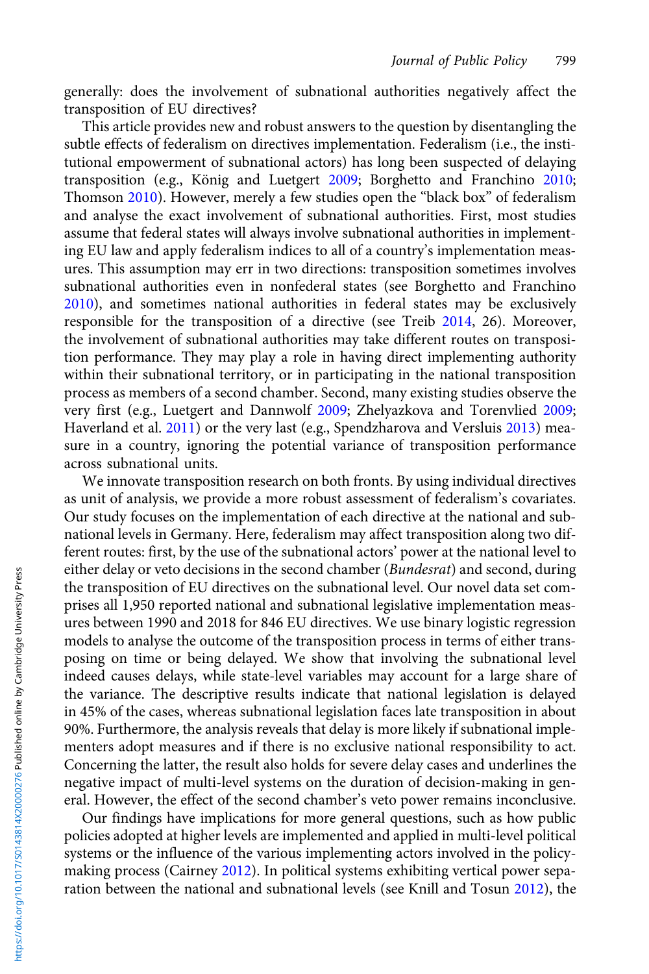generally: does the involvement of subnational authorities negatively affect the transposition of EU directives?

This article provides new and robust answers to the question by disentangling the subtle effects of federalism on directives implementation. Federalism (i.e., the institutional empowerment of subnational actors) has long been suspected of delaying transposition (e.g., König and Luetgert 2009; Borghetto and Franchino 2010; Thomson 2010). However, merely a few studies open the "black box" of federalism and analyse the exact involvement of subnational authorities. First, most studies assume that federal states will always involve subnational authorities in implementing EU law and apply federalism indices to all of a country's implementation measures. This assumption may err in two directions: transposition sometimes involves subnational authorities even in nonfederal states (see Borghetto and Franchino 2010), and sometimes national authorities in federal states may be exclusively responsible for the transposition of a directive (see Treib 2014, 26). Moreover, the involvement of subnational authorities may take different routes on transposition performance. They may play a role in having direct implementing authority within their subnational territory, or in participating in the national transposition process as members of a second chamber. Second, many existing studies observe the very first (e.g., Luetgert and Dannwolf 2009; Zhelyazkova and Torenvlied 2009; Haverland et al. 2011) or the very last (e.g., Spendzharova and Versluis 2013) measure in a country, ignoring the potential variance of transposition performance across subnational units.

We innovate transposition research on both fronts. By using individual directives as unit of analysis, we provide a more robust assessment of federalism's covariates. Our study focuses on the implementation of each directive at the national and subnational levels in Germany. Here, federalism may affect transposition along two different routes: first, by the use of the subnational actors' power at the national level to either delay or veto decisions in the second chamber (Bundesrat) and second, during the transposition of EU directives on the subnational level. Our novel data set comprises all 1,950 reported national and subnational legislative implementation measures between 1990 and 2018 for 846 EU directives. We use binary logistic regression models to analyse the outcome of the transposition process in terms of either transposing on time or being delayed. We show that involving the subnational level indeed causes delays, while state-level variables may account for a large share of the variance. The descriptive results indicate that national legislation is delayed in 45% of the cases, whereas subnational legislation faces late transposition in about 90%. Furthermore, the analysis reveals that delay is more likely if subnational implementers adopt measures and if there is no exclusive national responsibility to act. Concerning the latter, the result also holds for severe delay cases and underlines the negative impact of multi-level systems on the duration of decision-making in general. However, the effect of the second chamber's veto power remains inconclusive.

Our findings have implications for more general questions, such as how public policies adopted at higher levels are implemented and applied in multi-level political systems or the influence of the various implementing actors involved in the policymaking process (Cairney 2012). In political systems exhibiting vertical power separation between the national and subnational levels (see Knill and Tosun 2012), the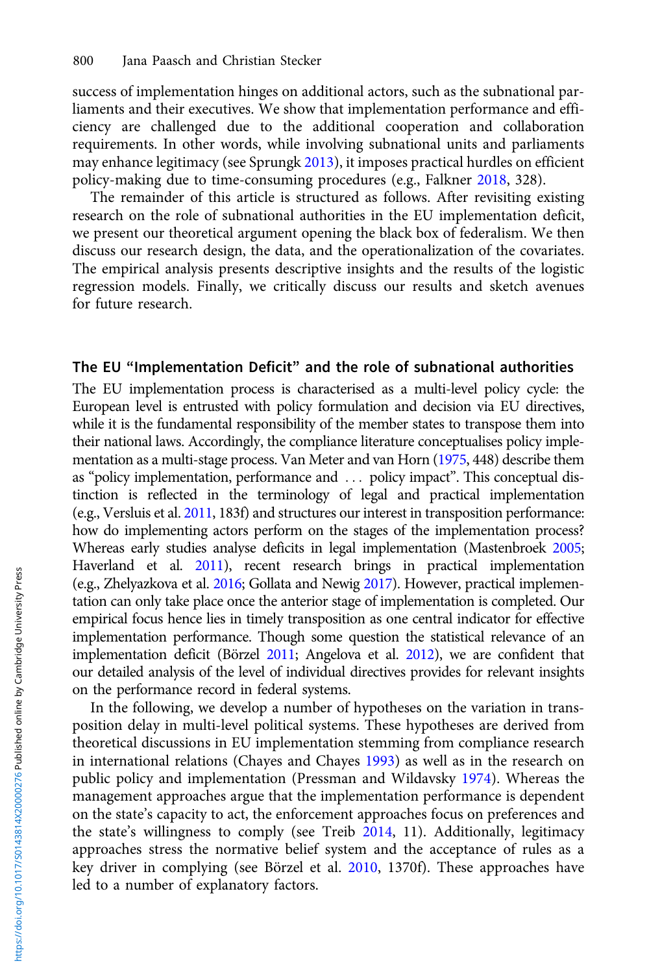success of implementation hinges on additional actors, such as the subnational parliaments and their executives. We show that implementation performance and efficiency are challenged due to the additional cooperation and collaboration requirements. In other words, while involving subnational units and parliaments may enhance legitimacy (see Sprungk 2013), it imposes practical hurdles on efficient policy-making due to time-consuming procedures (e.g., Falkner 2018, 328).

The remainder of this article is structured as follows. After revisiting existing research on the role of subnational authorities in the EU implementation deficit, we present our theoretical argument opening the black box of federalism. We then discuss our research design, the data, and the operationalization of the covariates. The empirical analysis presents descriptive insights and the results of the logistic regression models. Finally, we critically discuss our results and sketch avenues for future research.

# The EU "Implementation Deficit" and the role of subnational authorities

The EU implementation process is characterised as a multi-level policy cycle: the European level is entrusted with policy formulation and decision via EU directives, while it is the fundamental responsibility of the member states to transpose them into their national laws. Accordingly, the compliance literature conceptualises policy implementation as a multi-stage process. Van Meter and van Horn (1975, 448) describe them as "policy implementation, performance and ... policy impact". This conceptual distinction is reflected in the terminology of legal and practical implementation (e.g., Versluis et al. 2011, 183f) and structures our interest in transposition performance: how do implementing actors perform on the stages of the implementation process? Whereas early studies analyse deficits in legal implementation (Mastenbroek 2005; Haverland et al. 2011), recent research brings in practical implementation (e.g., Zhelyazkova et al. 2016; Gollata and Newig 2017). However, practical implementation can only take place once the anterior stage of implementation is completed. Our empirical focus hence lies in timely transposition as one central indicator for effective implementation performance. Though some question the statistical relevance of an implementation deficit (Börzel 2011; Angelova et al. 2012), we are confident that our detailed analysis of the level of individual directives provides for relevant insights on the performance record in federal systems.

In the following, we develop a number of hypotheses on the variation in transposition delay in multi-level political systems. These hypotheses are derived from theoretical discussions in EU implementation stemming from compliance research in international relations (Chayes and Chayes 1993) as well as in the research on public policy and implementation (Pressman and Wildavsky 1974). Whereas the management approaches argue that the implementation performance is dependent on the state's capacity to act, the enforcement approaches focus on preferences and the state's willingness to comply (see Treib 2014, 11). Additionally, legitimacy approaches stress the normative belief system and the acceptance of rules as a key driver in complying (see Börzel et al. 2010, 1370f). These approaches have led to a number of explanatory factors.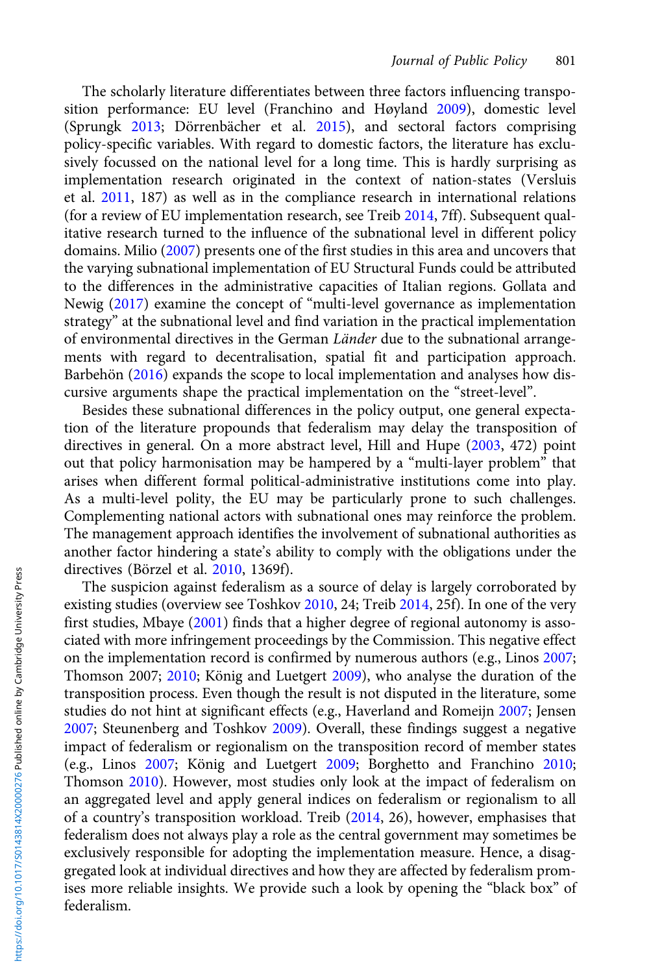The scholarly literature differentiates between three factors influencing transposition performance: EU level (Franchino and Høyland 2009), domestic level (Sprungk 2013; Dörrenbächer et al. 2015), and sectoral factors comprising policy-specific variables. With regard to domestic factors, the literature has exclusively focussed on the national level for a long time. This is hardly surprising as implementation research originated in the context of nation-states (Versluis et al. 2011, 187) as well as in the compliance research in international relations (for a review of EU implementation research, see Treib 2014, 7ff). Subsequent qualitative research turned to the influence of the subnational level in different policy domains. Milio (2007) presents one of the first studies in this area and uncovers that the varying subnational implementation of EU Structural Funds could be attributed to the differences in the administrative capacities of Italian regions. Gollata and Newig (2017) examine the concept of "multi-level governance as implementation strategy" at the subnational level and find variation in the practical implementation of environmental directives in the German Länder due to the subnational arrangements with regard to decentralisation, spatial fit and participation approach. Barbehön (2016) expands the scope to local implementation and analyses how discursive arguments shape the practical implementation on the "street-level".

Besides these subnational differences in the policy output, one general expectation of the literature propounds that federalism may delay the transposition of directives in general. On a more abstract level, Hill and Hupe (2003, 472) point out that policy harmonisation may be hampered by a "multi-layer problem" that arises when different formal political-administrative institutions come into play. As a multi-level polity, the EU may be particularly prone to such challenges. Complementing national actors with subnational ones may reinforce the problem. The management approach identifies the involvement of subnational authorities as another factor hindering a state's ability to comply with the obligations under the directives (Börzel et al. 2010, 1369f).

The suspicion against federalism as a source of delay is largely corroborated by existing studies (overview see Toshkov 2010, 24; Treib 2014, 25f). In one of the very first studies, Mbaye (2001) finds that a higher degree of regional autonomy is associated with more infringement proceedings by the Commission. This negative effect on the implementation record is confirmed by numerous authors (e.g., Linos 2007; Thomson 2007; 2010; König and Luetgert 2009), who analyse the duration of the transposition process. Even though the result is not disputed in the literature, some studies do not hint at significant effects (e.g., Haverland and Romeijn 2007; Jensen 2007; Steunenberg and Toshkov 2009). Overall, these findings suggest a negative impact of federalism or regionalism on the transposition record of member states (e.g., Linos 2007; König and Luetgert 2009; Borghetto and Franchino 2010; Thomson 2010). However, most studies only look at the impact of federalism on an aggregated level and apply general indices on federalism or regionalism to all of a country's transposition workload. Treib (2014, 26), however, emphasises that federalism does not always play a role as the central government may sometimes be exclusively responsible for adopting the implementation measure. Hence, a disaggregated look at individual directives and how they are affected by federalism promises more reliable insights. We provide such a look by opening the "black box" of federalism.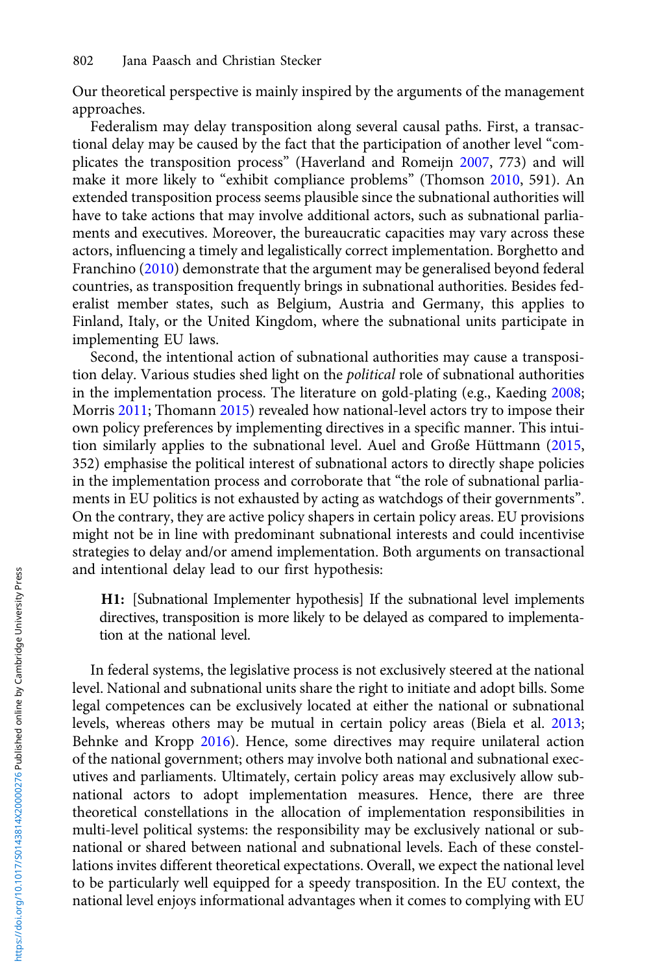Our theoretical perspective is mainly inspired by the arguments of the management approaches.

Federalism may delay transposition along several causal paths. First, a transactional delay may be caused by the fact that the participation of another level "complicates the transposition process" (Haverland and Romeijn 2007, 773) and will make it more likely to "exhibit compliance problems" (Thomson 2010, 591). An extended transposition process seems plausible since the subnational authorities will have to take actions that may involve additional actors, such as subnational parliaments and executives. Moreover, the bureaucratic capacities may vary across these actors, influencing a timely and legalistically correct implementation. Borghetto and Franchino (2010) demonstrate that the argument may be generalised beyond federal countries, as transposition frequently brings in subnational authorities. Besides federalist member states, such as Belgium, Austria and Germany, this applies to Finland, Italy, or the United Kingdom, where the subnational units participate in implementing EU laws.

Second, the intentional action of subnational authorities may cause a transposition delay. Various studies shed light on the political role of subnational authorities in the implementation process. The literature on gold-plating (e.g., Kaeding 2008; Morris 2011; Thomann 2015) revealed how national-level actors try to impose their own policy preferences by implementing directives in a specific manner. This intuition similarly applies to the subnational level. Auel and Große Hüttmann (2015, 352) emphasise the political interest of subnational actors to directly shape policies in the implementation process and corroborate that "the role of subnational parliaments in EU politics is not exhausted by acting as watchdogs of their governments". On the contrary, they are active policy shapers in certain policy areas. EU provisions might not be in line with predominant subnational interests and could incentivise strategies to delay and/or amend implementation. Both arguments on transactional and intentional delay lead to our first hypothesis:

H1: [Subnational Implementer hypothesis] If the subnational level implements directives, transposition is more likely to be delayed as compared to implementation at the national level.

In federal systems, the legislative process is not exclusively steered at the national level. National and subnational units share the right to initiate and adopt bills. Some legal competences can be exclusively located at either the national or subnational levels, whereas others may be mutual in certain policy areas (Biela et al. 2013; Behnke and Kropp 2016). Hence, some directives may require unilateral action of the national government; others may involve both national and subnational executives and parliaments. Ultimately, certain policy areas may exclusively allow subnational actors to adopt implementation measures. Hence, there are three theoretical constellations in the allocation of implementation responsibilities in multi-level political systems: the responsibility may be exclusively national or subnational or shared between national and subnational levels. Each of these constellations invites different theoretical expectations. Overall, we expect the national level to be particularly well equipped for a speedy transposition. In the EU context, the national level enjoys informational advantages when it comes to complying with EU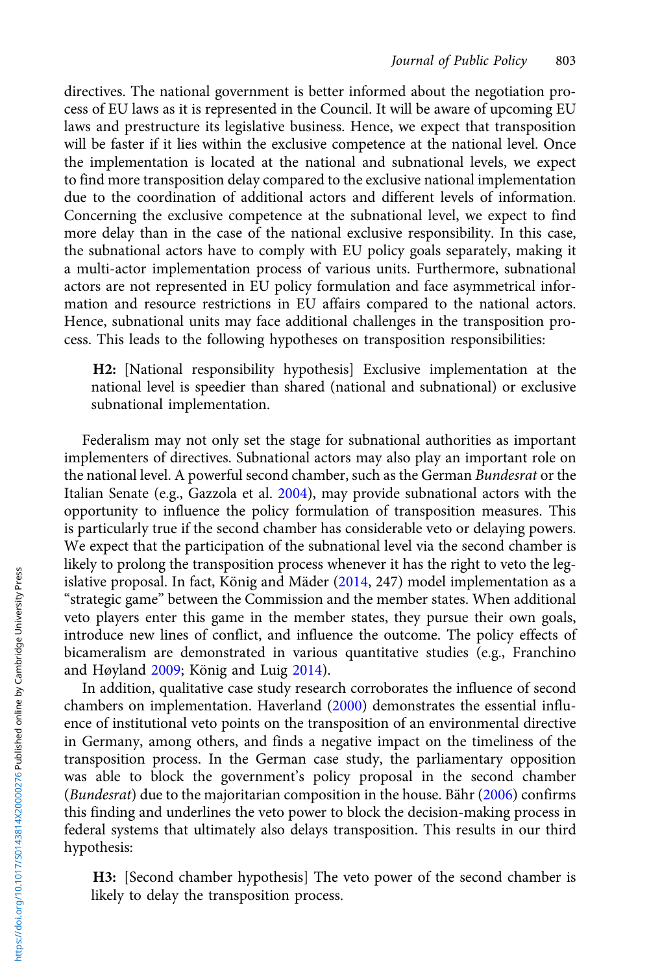directives. The national government is better informed about the negotiation process of EU laws as it is represented in the Council. It will be aware of upcoming EU laws and prestructure its legislative business. Hence, we expect that transposition will be faster if it lies within the exclusive competence at the national level. Once the implementation is located at the national and subnational levels, we expect to find more transposition delay compared to the exclusive national implementation due to the coordination of additional actors and different levels of information. Concerning the exclusive competence at the subnational level, we expect to find more delay than in the case of the national exclusive responsibility. In this case, the subnational actors have to comply with EU policy goals separately, making it a multi-actor implementation process of various units. Furthermore, subnational actors are not represented in EU policy formulation and face asymmetrical information and resource restrictions in EU affairs compared to the national actors. Hence, subnational units may face additional challenges in the transposition process. This leads to the following hypotheses on transposition responsibilities:

H2: [National responsibility hypothesis] Exclusive implementation at the national level is speedier than shared (national and subnational) or exclusive subnational implementation.

Federalism may not only set the stage for subnational authorities as important implementers of directives. Subnational actors may also play an important role on the national level. A powerful second chamber, such as the German Bundesrat or the Italian Senate (e.g., Gazzola et al. 2004), may provide subnational actors with the opportunity to influence the policy formulation of transposition measures. This is particularly true if the second chamber has considerable veto or delaying powers. We expect that the participation of the subnational level via the second chamber is likely to prolong the transposition process whenever it has the right to veto the legislative proposal. In fact, König and Mäder (2014, 247) model implementation as a "strategic game" between the Commission and the member states. When additional veto players enter this game in the member states, they pursue their own goals, introduce new lines of conflict, and influence the outcome. The policy effects of bicameralism are demonstrated in various quantitative studies (e.g., Franchino and Høyland 2009; König and Luig 2014).

In addition, qualitative case study research corroborates the influence of second chambers on implementation. Haverland (2000) demonstrates the essential influence of institutional veto points on the transposition of an environmental directive in Germany, among others, and finds a negative impact on the timeliness of the transposition process. In the German case study, the parliamentary opposition was able to block the government's policy proposal in the second chamber (Bundesrat) due to the majoritarian composition in the house. Bähr (2006) confirms this finding and underlines the veto power to block the decision-making process in federal systems that ultimately also delays transposition. This results in our third hypothesis:

H3: [Second chamber hypothesis] The veto power of the second chamber is likely to delay the transposition process.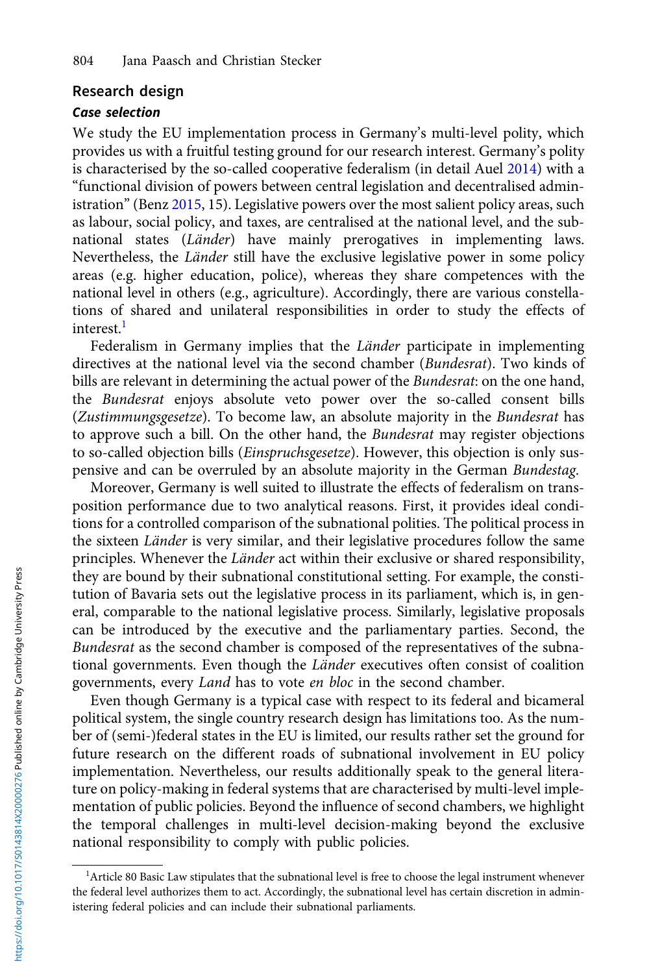## Research design

## Case selection

We study the EU implementation process in Germany's multi-level polity, which provides us with a fruitful testing ground for our research interest. Germany's polity is characterised by the so-called cooperative federalism (in detail Auel 2014) with a "functional division of powers between central legislation and decentralised administration" (Benz 2015, 15). Legislative powers over the most salient policy areas, such as labour, social policy, and taxes, are centralised at the national level, and the subnational states (Länder) have mainly prerogatives in implementing laws. Nevertheless, the Länder still have the exclusive legislative power in some policy areas (e.g. higher education, police), whereas they share competences with the national level in others (e.g., agriculture). Accordingly, there are various constellations of shared and unilateral responsibilities in order to study the effects of interest.<sup>1</sup>

Federalism in Germany implies that the Länder participate in implementing directives at the national level via the second chamber (Bundesrat). Two kinds of bills are relevant in determining the actual power of the Bundesrat: on the one hand, the Bundesrat enjoys absolute veto power over the so-called consent bills (Zustimmungsgesetze). To become law, an absolute majority in the Bundesrat has to approve such a bill. On the other hand, the Bundesrat may register objections to so-called objection bills (Einspruchsgesetze). However, this objection is only suspensive and can be overruled by an absolute majority in the German Bundestag.

Moreover, Germany is well suited to illustrate the effects of federalism on transposition performance due to two analytical reasons. First, it provides ideal conditions for a controlled comparison of the subnational polities. The political process in the sixteen Länder is very similar, and their legislative procedures follow the same principles. Whenever the Länder act within their exclusive or shared responsibility, they are bound by their subnational constitutional setting. For example, the constitution of Bavaria sets out the legislative process in its parliament, which is, in general, comparable to the national legislative process. Similarly, legislative proposals can be introduced by the executive and the parliamentary parties. Second, the Bundesrat as the second chamber is composed of the representatives of the subnational governments. Even though the Länder executives often consist of coalition governments, every Land has to vote en bloc in the second chamber.

Even though Germany is a typical case with respect to its federal and bicameral political system, the single country research design has limitations too. As the number of (semi-)federal states in the EU is limited, our results rather set the ground for future research on the different roads of subnational involvement in EU policy implementation. Nevertheless, our results additionally speak to the general literature on policy-making in federal systems that are characterised by multi-level implementation of public policies. Beyond the influence of second chambers, we highlight the temporal challenges in multi-level decision-making beyond the exclusive national responsibility to comply with public policies.

<sup>&</sup>lt;sup>1</sup> Article 80 Basic Law stipulates that the subnational level is free to choose the legal instrument whenever the federal level authorizes them to act. Accordingly, the subnational level has certain discretion in administering federal policies and can include their subnational parliaments.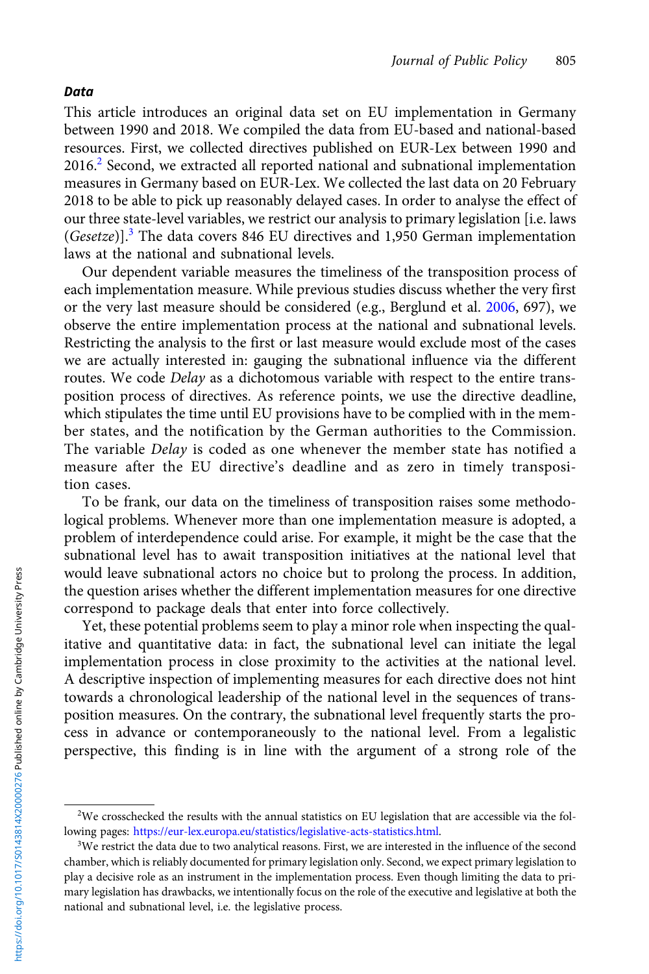#### **Data**

This article introduces an original data set on EU implementation in Germany between 1990 and 2018. We compiled the data from EU-based and national-based resources. First, we collected directives published on EUR-Lex between 1990 and 2016.<sup>2</sup> Second, we extracted all reported national and subnational implementation measures in Germany based on EUR-Lex. We collected the last data on 20 February 2018 to be able to pick up reasonably delayed cases. In order to analyse the effect of our three state-level variables, we restrict our analysis to primary legislation [i.e. laws  $(Gesetze)]$ <sup>3</sup>. The data covers 846 EU directives and 1,950 German implementation laws at the national and subnational levels.

Our dependent variable measures the timeliness of the transposition process of each implementation measure. While previous studies discuss whether the very first or the very last measure should be considered (e.g., Berglund et al. 2006, 697), we observe the entire implementation process at the national and subnational levels. Restricting the analysis to the first or last measure would exclude most of the cases we are actually interested in: gauging the subnational influence via the different routes. We code Delay as a dichotomous variable with respect to the entire transposition process of directives. As reference points, we use the directive deadline, which stipulates the time until EU provisions have to be complied with in the member states, and the notification by the German authorities to the Commission. The variable Delay is coded as one whenever the member state has notified a measure after the EU directive's deadline and as zero in timely transposition cases.

To be frank, our data on the timeliness of transposition raises some methodological problems. Whenever more than one implementation measure is adopted, a problem of interdependence could arise. For example, it might be the case that the subnational level has to await transposition initiatives at the national level that would leave subnational actors no choice but to prolong the process. In addition, the question arises whether the different implementation measures for one directive correspond to package deals that enter into force collectively.

Yet, these potential problems seem to play a minor role when inspecting the qualitative and quantitative data: in fact, the subnational level can initiate the legal implementation process in close proximity to the activities at the national level. A descriptive inspection of implementing measures for each directive does not hint towards a chronological leadership of the national level in the sequences of transposition measures. On the contrary, the subnational level frequently starts the process in advance or contemporaneously to the national level. From a legalistic perspective, this finding is in line with the argument of a strong role of the

 $^{2}$ We crosschecked the results with the annual statistics on EU legislation that are accessible via the following pages: <https://eur-lex.europa.eu/statistics/legislative-acts-statistics.html>.

<sup>&</sup>lt;sup>3</sup>We restrict the data due to two analytical reasons. First, we are interested in the influence of the second chamber, which is reliably documented for primary legislation only. Second, we expect primary legislation to play a decisive role as an instrument in the implementation process. Even though limiting the data to primary legislation has drawbacks, we intentionally focus on the role of the executive and legislative at both the national and subnational level, i.e. the legislative process.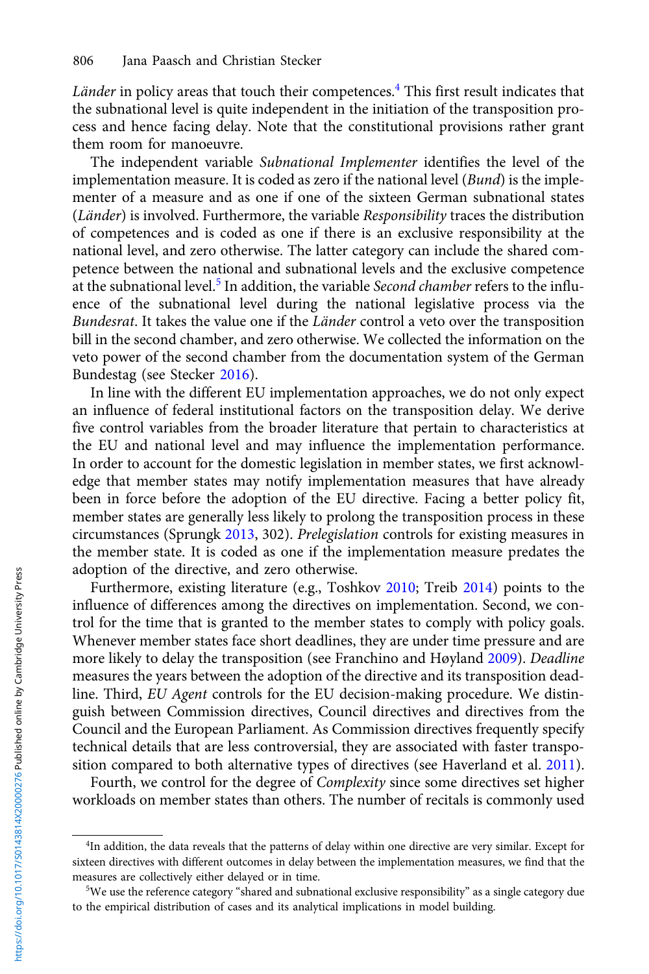Länder in policy areas that touch their competences.<sup>4</sup> This first result indicates that the subnational level is quite independent in the initiation of the transposition process and hence facing delay. Note that the constitutional provisions rather grant them room for manoeuvre.

The independent variable Subnational Implementer identifies the level of the implementation measure. It is coded as zero if the national level (Bund) is the implementer of a measure and as one if one of the sixteen German subnational states (Länder) is involved. Furthermore, the variable Responsibility traces the distribution of competences and is coded as one if there is an exclusive responsibility at the national level, and zero otherwise. The latter category can include the shared competence between the national and subnational levels and the exclusive competence at the subnational level.<sup>5</sup> In addition, the variable *Second chamber* refers to the influence of the subnational level during the national legislative process via the Bundesrat. It takes the value one if the Länder control a veto over the transposition bill in the second chamber, and zero otherwise. We collected the information on the veto power of the second chamber from the documentation system of the German Bundestag (see Stecker 2016).

In line with the different EU implementation approaches, we do not only expect an influence of federal institutional factors on the transposition delay. We derive five control variables from the broader literature that pertain to characteristics at the EU and national level and may influence the implementation performance. In order to account for the domestic legislation in member states, we first acknowledge that member states may notify implementation measures that have already been in force before the adoption of the EU directive. Facing a better policy fit, member states are generally less likely to prolong the transposition process in these circumstances (Sprungk 2013, 302). Prelegislation controls for existing measures in the member state. It is coded as one if the implementation measure predates the adoption of the directive, and zero otherwise.

Furthermore, existing literature (e.g., Toshkov 2010; Treib 2014) points to the influence of differences among the directives on implementation. Second, we control for the time that is granted to the member states to comply with policy goals. Whenever member states face short deadlines, they are under time pressure and are more likely to delay the transposition (see Franchino and Høyland 2009). Deadline measures the years between the adoption of the directive and its transposition deadline. Third, EU Agent controls for the EU decision-making procedure. We distinguish between Commission directives, Council directives and directives from the Council and the European Parliament. As Commission directives frequently specify technical details that are less controversial, they are associated with faster transposition compared to both alternative types of directives (see Haverland et al. 2011).

Fourth, we control for the degree of Complexity since some directives set higher workloads on member states than others. The number of recitals is commonly used

<sup>&</sup>lt;sup>4</sup>In addition, the data reveals that the patterns of delay within one directive are very similar. Except for sixteen directives with different outcomes in delay between the implementation measures, we find that the measures are collectively either delayed or in time.

<sup>&</sup>lt;sup>5</sup>We use the reference category "shared and subnational exclusive responsibility" as a single category due to the empirical distribution of cases and its analytical implications in model building.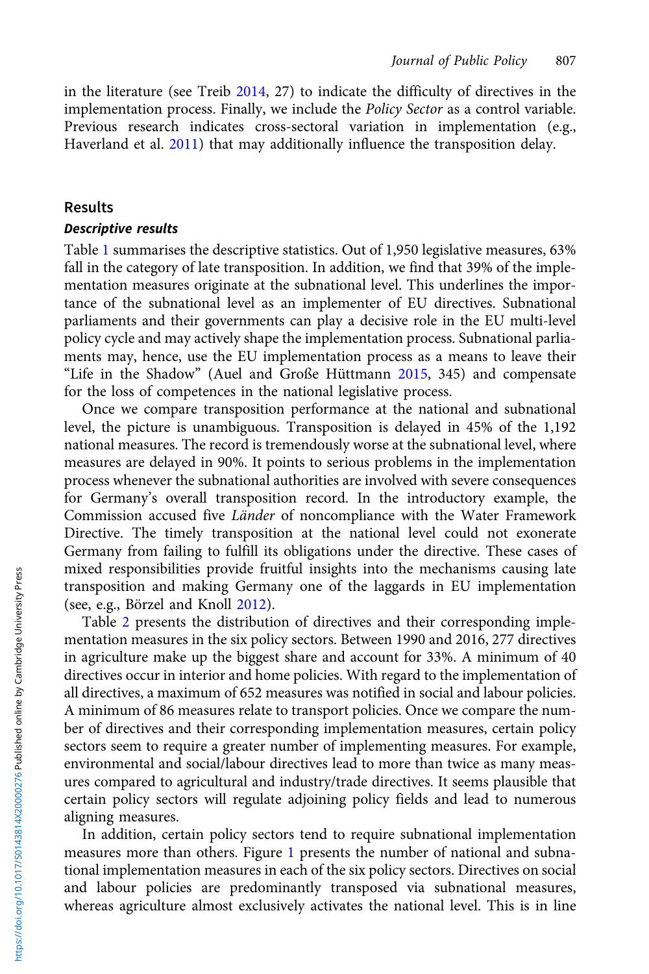in the literature (see Treib 2014, 27) to indicate the difficulty of directives in the implementation process. Finally, we include the Policy Sector as a control variable. Previous research indicates cross-sectoral variation in implementation (e.g., Haverland et al. 2011) that may additionally influence the transposition delay.

#### Results

## Descriptive results

Table 1 summarises the descriptive statistics. Out of 1,950 legislative measures, 63% fall in the category of late transposition. In addition, we find that 39% of the implementation measures originate at the subnational level. This underlines the importance of the subnational level as an implementer of EU directives. Subnational parliaments and their governments can play a decisive role in the EU multi-level policy cycle and may actively shape the implementation process. Subnational parliaments may, hence, use the EU implementation process as a means to leave their "Life in the Shadow" (Auel and Große Hüttmann 2015, 345) and compensate for the loss of competences in the national legislative process.

Once we compare transposition performance at the national and subnational level, the picture is unambiguous. Transposition is delayed in 45% of the 1,192 national measures. The record is tremendously worse at the subnational level, where measures are delayed in 90%. It points to serious problems in the implementation process whenever the subnational authorities are involved with severe consequences for Germany's overall transposition record. In the introductory example, the Commission accused five Länder of noncompliance with the Water Framework Directive. The timely transposition at the national level could not exonerate Germany from failing to fulfill its obligations under the directive. These cases of mixed responsibilities provide fruitful insights into the mechanisms causing late transposition and making Germany one of the laggards in EU implementation (see, e.g., Börzel and Knoll 2012).

Table 2 presents the distribution of directives and their corresponding implementation measures in the six policy sectors. Between 1990 and 2016, 277 directives in agriculture make up the biggest share and account for 33%. A minimum of 40 directives occur in interior and home policies. With regard to the implementation of all directives, a maximum of 652 measures was notified in social and labour policies. A minimum of 86 measures relate to transport policies. Once we compare the number of directives and their corresponding implementation measures, certain policy sectors seem to require a greater number of implementing measures. For example, environmental and social/labour directives lead to more than twice as many measures compared to agricultural and industry/trade directives. It seems plausible that certain policy sectors will regulate adjoining policy fields and lead to numerous aligning measures.

In addition, certain policy sectors tend to require subnational implementation measures more than others. Figure 1 presents the number of national and subnational implementation measures in each of the six policy sectors. Directives on social and labour policies are predominantly transposed via subnational measures, whereas agriculture almost exclusively activates the national level. This is in line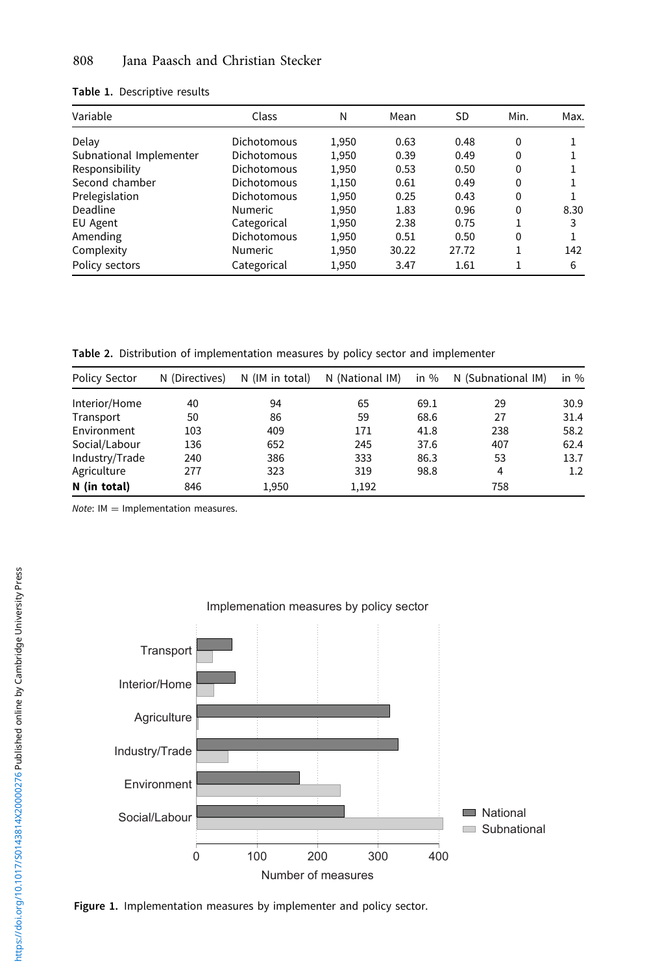# 808 Jana Paasch and Christian Stecker

| Variable                | Class          | N     | Mean  | SD    | Min.     | Max. |
|-------------------------|----------------|-------|-------|-------|----------|------|
| Delay                   | Dichotomous    | 1,950 | 0.63  | 0.48  | $\Omega$ |      |
| Subnational Implementer | Dichotomous    | 1,950 | 0.39  | 0.49  | 0        |      |
| Responsibility          | Dichotomous    | 1,950 | 0.53  | 0.50  | 0        |      |
| Second chamber          | Dichotomous    | 1,150 | 0.61  | 0.49  | $\Omega$ |      |
| Prelegislation          | Dichotomous    | 1,950 | 0.25  | 0.43  | $\Omega$ |      |
| Deadline                | <b>Numeric</b> | 1.950 | 1.83  | 0.96  | $\Omega$ | 8.30 |
| EU Agent                | Categorical    | 1,950 | 2.38  | 0.75  |          | 3    |
| Amending                | Dichotomous    | 1,950 | 0.51  | 0.50  | $\Omega$ |      |
| Complexity              | <b>Numeric</b> | 1,950 | 30.22 | 27.72 |          | 142  |
| Policy sectors          | Categorical    | 1,950 | 3.47  | 1.61  |          | 6    |

|  |  |  | Table 1. Descriptive results |
|--|--|--|------------------------------|
|--|--|--|------------------------------|

Table 2. Distribution of implementation measures by policy sector and implementer

| Policy Sector  | N (Directives) | N (IM in total) | N (National IM) | in $%$ | N (Subnational IM) | in $%$ |
|----------------|----------------|-----------------|-----------------|--------|--------------------|--------|
| Interior/Home  | 40             | 94              | 65              | 69.1   | 29                 | 30.9   |
| Transport      | 50             | 86              | 59              | 68.6   | 27                 | 31.4   |
| Environment    | 103            | 409             | 171             | 41.8   | 238                | 58.2   |
| Social/Labour  | 136            | 652             | 245             | 37.6   | 407                | 62.4   |
| Industry/Trade | 240            | 386             | 333             | 86.3   | 53                 | 13.7   |
| Agriculture    | 277            | 323             | 319             | 98.8   | 4                  | 1.2    |
| N (in total)   | 846            | 1.950           | 1,192           |        | 758                |        |

 $Note: IM = Implementation measures.$ 



Implemenation measures by policy sector

Figure 1. Implementation measures by implementer and policy sector.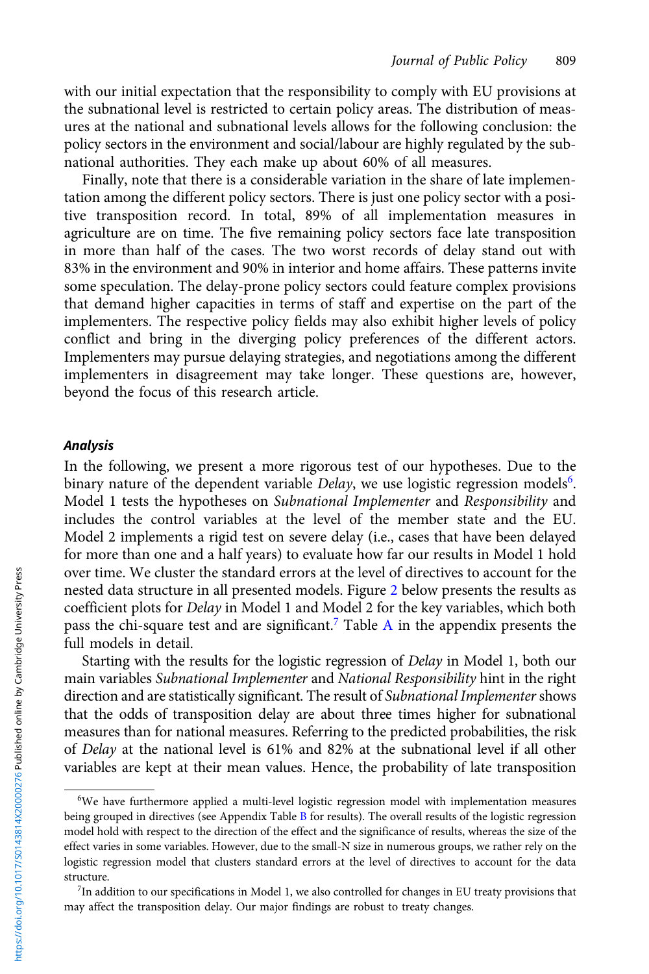with our initial expectation that the responsibility to comply with EU provisions at the subnational level is restricted to certain policy areas. The distribution of measures at the national and subnational levels allows for the following conclusion: the policy sectors in the environment and social/labour are highly regulated by the subnational authorities. They each make up about 60% of all measures.

Finally, note that there is a considerable variation in the share of late implementation among the different policy sectors. There is just one policy sector with a positive transposition record. In total, 89% of all implementation measures in agriculture are on time. The five remaining policy sectors face late transposition in more than half of the cases. The two worst records of delay stand out with 83% in the environment and 90% in interior and home affairs. These patterns invite some speculation. The delay-prone policy sectors could feature complex provisions that demand higher capacities in terms of staff and expertise on the part of the implementers. The respective policy fields may also exhibit higher levels of policy conflict and bring in the diverging policy preferences of the different actors. Implementers may pursue delaying strategies, and negotiations among the different implementers in disagreement may take longer. These questions are, however, beyond the focus of this research article.

#### Analysis

In the following, we present a more rigorous test of our hypotheses. Due to the binary nature of the dependent variable Delay, we use logistic regression models<sup>6</sup>. Model 1 tests the hypotheses on Subnational Implementer and Responsibility and includes the control variables at the level of the member state and the EU. Model 2 implements a rigid test on severe delay (i.e., cases that have been delayed for more than one and a half years) to evaluate how far our results in Model 1 hold over time. We cluster the standard errors at the level of directives to account for the nested data structure in all presented models. Figure 2 below presents the results as coefficient plots for Delay in Model 1 and Model 2 for the key variables, which both pass the chi-square test and are significant.<sup>7</sup> Table  $A$  in the appendix presents the full models in detail.

Starting with the results for the logistic regression of Delay in Model 1, both our main variables Subnational Implementer and National Responsibility hint in the right direction and are statistically significant. The result of Subnational Implementer shows that the odds of transposition delay are about three times higher for subnational measures than for national measures. Referring to the predicted probabilities, the risk of Delay at the national level is 61% and 82% at the subnational level if all other variables are kept at their mean values. Hence, the probability of late transposition

<sup>6</sup> We have furthermore applied a multi-level logistic regression model with implementation measures being grouped in directives (see Appendix Table [B](https://doi.org/10.1017/S0143814X20000276) for results). The overall results of the logistic regression model hold with respect to the direction of the effect and the significance of results, whereas the size of the effect varies in some variables. However, due to the small-N size in numerous groups, we rather rely on the logistic regression model that clusters standard errors at the level of directives to account for the data structure.

<sup>7</sup> In addition to our specifications in Model 1, we also controlled for changes in EU treaty provisions that may affect the transposition delay. Our major findings are robust to treaty changes.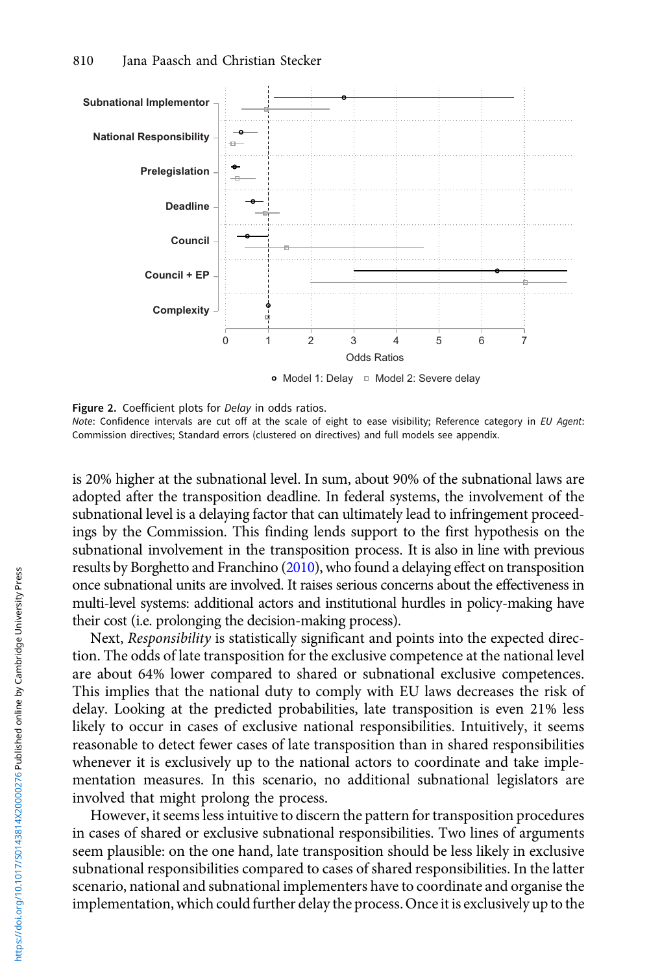

Figure 2. Coefficient plots for Delay in odds ratios.

Note: Confidence intervals are cut off at the scale of eight to ease visibility; Reference category in EU Agent: Commission directives; Standard errors (clustered on directives) and full models see appendix.

is 20% higher at the subnational level. In sum, about 90% of the subnational laws are adopted after the transposition deadline. In federal systems, the involvement of the subnational level is a delaying factor that can ultimately lead to infringement proceedings by the Commission. This finding lends support to the first hypothesis on the subnational involvement in the transposition process. It is also in line with previous results by Borghetto and Franchino (2010), who found a delaying effect on transposition once subnational units are involved. It raises serious concerns about the effectiveness in multi-level systems: additional actors and institutional hurdles in policy-making have their cost (i.e. prolonging the decision-making process).

Next, Responsibility is statistically significant and points into the expected direction. The odds of late transposition for the exclusive competence at the national level are about 64% lower compared to shared or subnational exclusive competences. This implies that the national duty to comply with EU laws decreases the risk of delay. Looking at the predicted probabilities, late transposition is even 21% less likely to occur in cases of exclusive national responsibilities. Intuitively, it seems reasonable to detect fewer cases of late transposition than in shared responsibilities whenever it is exclusively up to the national actors to coordinate and take implementation measures. In this scenario, no additional subnational legislators are involved that might prolong the process.

However, it seems less intuitive to discern the pattern for transposition procedures in cases of shared or exclusive subnational responsibilities. Two lines of arguments seem plausible: on the one hand, late transposition should be less likely in exclusive subnational responsibilities compared to cases of shared responsibilities. In the latter scenario, national and subnational implementers have to coordinate and organise the implementation, which could further delay the process. Once it is exclusively up to the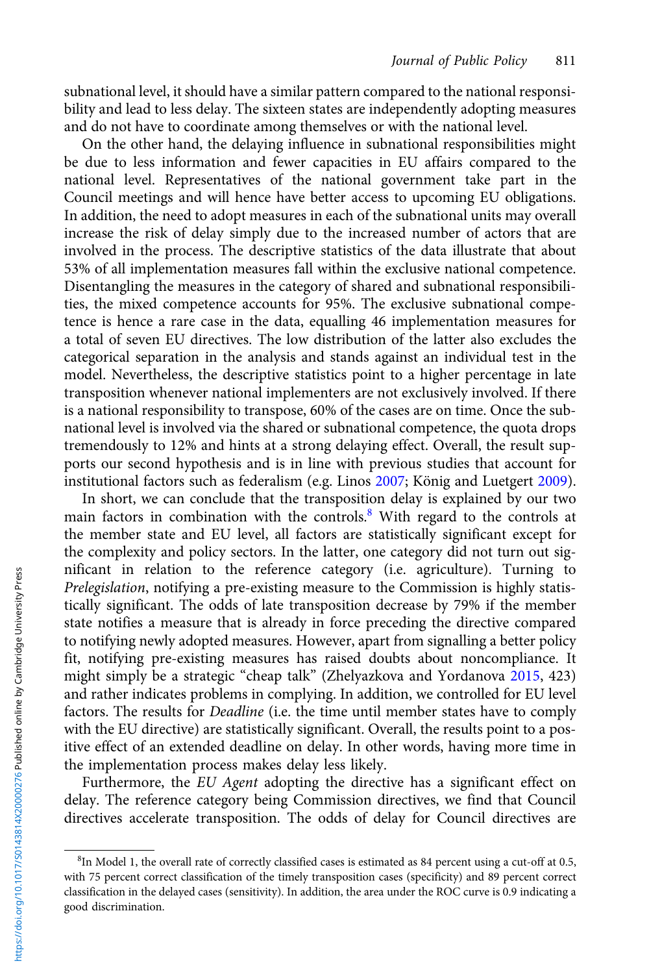subnational level, it should have a similar pattern compared to the national responsibility and lead to less delay. The sixteen states are independently adopting measures and do not have to coordinate among themselves or with the national level.

On the other hand, the delaying influence in subnational responsibilities might be due to less information and fewer capacities in EU affairs compared to the national level. Representatives of the national government take part in the Council meetings and will hence have better access to upcoming EU obligations. In addition, the need to adopt measures in each of the subnational units may overall increase the risk of delay simply due to the increased number of actors that are involved in the process. The descriptive statistics of the data illustrate that about 53% of all implementation measures fall within the exclusive national competence. Disentangling the measures in the category of shared and subnational responsibilities, the mixed competence accounts for 95%. The exclusive subnational competence is hence a rare case in the data, equalling 46 implementation measures for a total of seven EU directives. The low distribution of the latter also excludes the categorical separation in the analysis and stands against an individual test in the model. Nevertheless, the descriptive statistics point to a higher percentage in late transposition whenever national implementers are not exclusively involved. If there is a national responsibility to transpose, 60% of the cases are on time. Once the subnational level is involved via the shared or subnational competence, the quota drops tremendously to 12% and hints at a strong delaying effect. Overall, the result supports our second hypothesis and is in line with previous studies that account for institutional factors such as federalism (e.g. Linos 2007; König and Luetgert 2009).

In short, we can conclude that the transposition delay is explained by our two main factors in combination with the controls.<sup>8</sup> With regard to the controls at the member state and EU level, all factors are statistically significant except for the complexity and policy sectors. In the latter, one category did not turn out significant in relation to the reference category (i.e. agriculture). Turning to Prelegislation, notifying a pre-existing measure to the Commission is highly statistically significant. The odds of late transposition decrease by 79% if the member state notifies a measure that is already in force preceding the directive compared to notifying newly adopted measures. However, apart from signalling a better policy fit, notifying pre-existing measures has raised doubts about noncompliance. It might simply be a strategic "cheap talk" (Zhelyazkova and Yordanova 2015, 423) and rather indicates problems in complying. In addition, we controlled for EU level factors. The results for Deadline (i.e. the time until member states have to comply with the EU directive) are statistically significant. Overall, the results point to a positive effect of an extended deadline on delay. In other words, having more time in the implementation process makes delay less likely.

Furthermore, the EU Agent adopting the directive has a significant effect on delay. The reference category being Commission directives, we find that Council directives accelerate transposition. The odds of delay for Council directives are

<sup>&</sup>lt;sup>8</sup>In Model 1, the overall rate of correctly classified cases is estimated as 84 percent using a cut-off at 0.5, with 75 percent correct classification of the timely transposition cases (specificity) and 89 percent correct classification in the delayed cases (sensitivity). In addition, the area under the ROC curve is 0.9 indicating a good discrimination.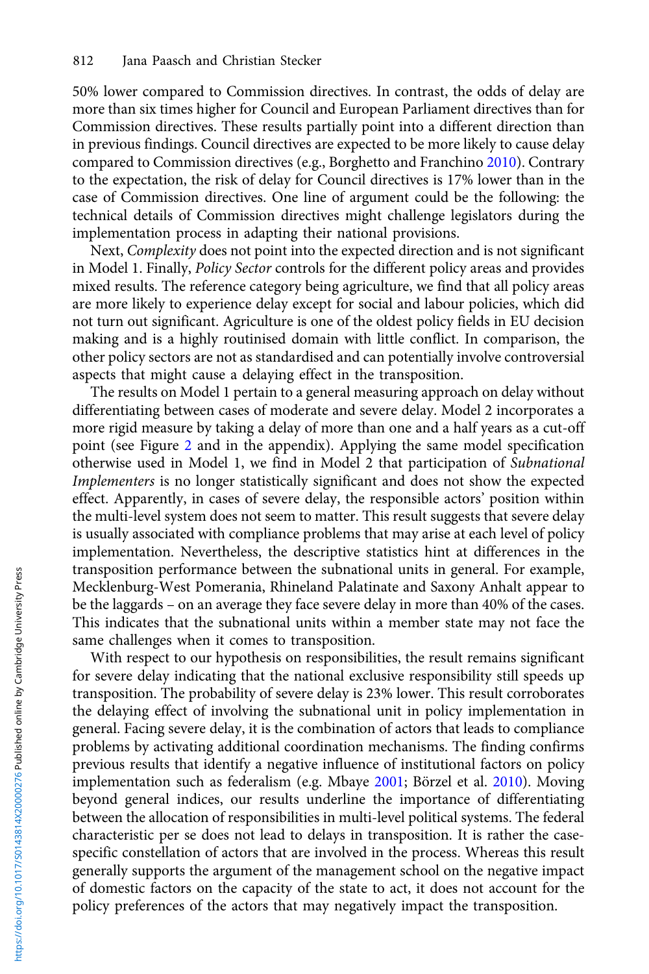50% lower compared to Commission directives. In contrast, the odds of delay are more than six times higher for Council and European Parliament directives than for Commission directives. These results partially point into a different direction than in previous findings. Council directives are expected to be more likely to cause delay compared to Commission directives (e.g., Borghetto and Franchino 2010). Contrary to the expectation, the risk of delay for Council directives is 17% lower than in the case of Commission directives. One line of argument could be the following: the technical details of Commission directives might challenge legislators during the implementation process in adapting their national provisions.

Next, Complexity does not point into the expected direction and is not significant in Model 1. Finally, Policy Sector controls for the different policy areas and provides mixed results. The reference category being agriculture, we find that all policy areas are more likely to experience delay except for social and labour policies, which did not turn out significant. Agriculture is one of the oldest policy fields in EU decision making and is a highly routinised domain with little conflict. In comparison, the other policy sectors are not as standardised and can potentially involve controversial aspects that might cause a delaying effect in the transposition.

The results on Model 1 pertain to a general measuring approach on delay without differentiating between cases of moderate and severe delay. Model 2 incorporates a more rigid measure by taking a delay of more than one and a half years as a cut-off point (see Figure 2 and in the appendix). Applying the same model specification otherwise used in Model 1, we find in Model 2 that participation of Subnational Implementers is no longer statistically significant and does not show the expected effect. Apparently, in cases of severe delay, the responsible actors' position within the multi-level system does not seem to matter. This result suggests that severe delay is usually associated with compliance problems that may arise at each level of policy implementation. Nevertheless, the descriptive statistics hint at differences in the transposition performance between the subnational units in general. For example, Mecklenburg-West Pomerania, Rhineland Palatinate and Saxony Anhalt appear to be the laggards – on an average they face severe delay in more than 40% of the cases. This indicates that the subnational units within a member state may not face the same challenges when it comes to transposition.

With respect to our hypothesis on responsibilities, the result remains significant for severe delay indicating that the national exclusive responsibility still speeds up transposition. The probability of severe delay is 23% lower. This result corroborates the delaying effect of involving the subnational unit in policy implementation in general. Facing severe delay, it is the combination of actors that leads to compliance problems by activating additional coordination mechanisms. The finding confirms previous results that identify a negative influence of institutional factors on policy implementation such as federalism (e.g. Mbaye 2001; Börzel et al. 2010). Moving beyond general indices, our results underline the importance of differentiating between the allocation of responsibilities in multi-level political systems. The federal characteristic per se does not lead to delays in transposition. It is rather the casespecific constellation of actors that are involved in the process. Whereas this result generally supports the argument of the management school on the negative impact of domestic factors on the capacity of the state to act, it does not account for the policy preferences of the actors that may negatively impact the transposition.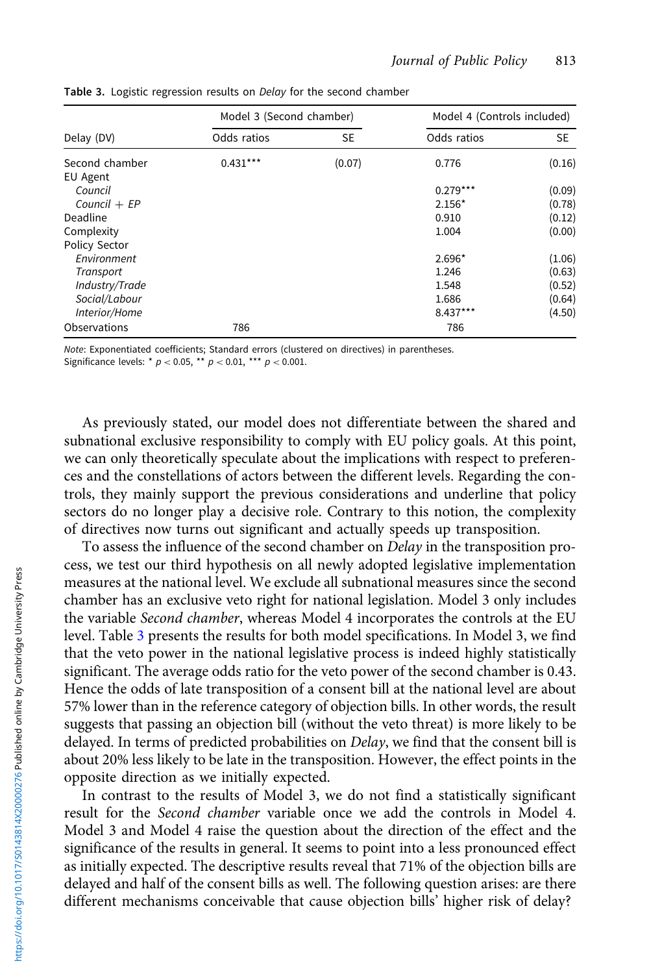| Delay (DV)                 | Model 3 (Second chamber) |           | Model 4 (Controls included) |        |
|----------------------------|--------------------------|-----------|-----------------------------|--------|
|                            | Odds ratios              | <b>SE</b> | Odds ratios                 | SE     |
| Second chamber<br>EU Agent | $0.431***$               | (0.07)    | 0.776                       | (0.16) |
| Council                    |                          |           | $0.279***$                  | (0.09) |
| Council $+EP$              |                          |           | $2.156*$                    | (0.78) |
| Deadline                   |                          |           | 0.910                       | (0.12) |
| Complexity                 |                          |           | 1.004                       | (0.00) |
| Policy Sector              |                          |           |                             |        |
| Environment                |                          |           | $2.696*$                    | (1.06) |
| Transport                  |                          |           | 1.246                       | (0.63) |
| Industry/Trade             |                          |           | 1.548                       | (0.52) |
| Social/Labour              |                          |           | 1.686                       | (0.64) |
| Interior/Home              |                          |           | $8.437***$                  | (4.50) |
| Observations               | 786                      |           | 786                         |        |

Table 3. Logistic regression results on Delay for the second chamber

Note: Exponentiated coefficients; Standard errors (clustered on directives) in parentheses. Significance levels: \*  $p < 0.05$ , \*\*  $p < 0.01$ , \*\*\*  $p < 0.001$ .

As previously stated, our model does not differentiate between the shared and subnational exclusive responsibility to comply with EU policy goals. At this point, we can only theoretically speculate about the implications with respect to preferences and the constellations of actors between the different levels. Regarding the controls, they mainly support the previous considerations and underline that policy sectors do no longer play a decisive role. Contrary to this notion, the complexity of directives now turns out significant and actually speeds up transposition.

To assess the influence of the second chamber on Delay in the transposition process, we test our third hypothesis on all newly adopted legislative implementation measures at the national level. We exclude all subnational measures since the second chamber has an exclusive veto right for national legislation. Model 3 only includes the variable Second chamber, whereas Model 4 incorporates the controls at the EU level. Table 3 presents the results for both model specifications. In Model 3, we find that the veto power in the national legislative process is indeed highly statistically significant. The average odds ratio for the veto power of the second chamber is 0.43. Hence the odds of late transposition of a consent bill at the national level are about 57% lower than in the reference category of objection bills. In other words, the result suggests that passing an objection bill (without the veto threat) is more likely to be delayed. In terms of predicted probabilities on Delay, we find that the consent bill is about 20% less likely to be late in the transposition. However, the effect points in the opposite direction as we initially expected.

In contrast to the results of Model 3, we do not find a statistically significant result for the Second chamber variable once we add the controls in Model 4. Model 3 and Model 4 raise the question about the direction of the effect and the significance of the results in general. It seems to point into a less pronounced effect as initially expected. The descriptive results reveal that 71% of the objection bills are delayed and half of the consent bills as well. The following question arises: are there different mechanisms conceivable that cause objection bills' higher risk of delay?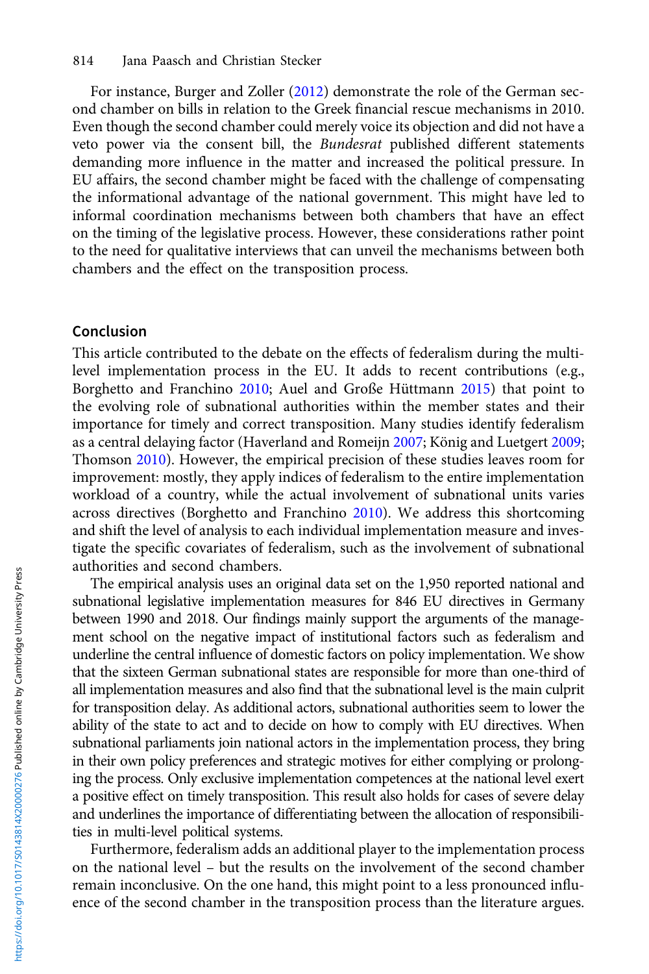For instance, Burger and Zoller (2012) demonstrate the role of the German second chamber on bills in relation to the Greek financial rescue mechanisms in 2010. Even though the second chamber could merely voice its objection and did not have a veto power via the consent bill, the Bundesrat published different statements demanding more influence in the matter and increased the political pressure. In EU affairs, the second chamber might be faced with the challenge of compensating the informational advantage of the national government. This might have led to informal coordination mechanisms between both chambers that have an effect on the timing of the legislative process. However, these considerations rather point to the need for qualitative interviews that can unveil the mechanisms between both chambers and the effect on the transposition process.

#### Conclusion

This article contributed to the debate on the effects of federalism during the multilevel implementation process in the EU. It adds to recent contributions (e.g., Borghetto and Franchino 2010; Auel and Große Hüttmann 2015) that point to the evolving role of subnational authorities within the member states and their importance for timely and correct transposition. Many studies identify federalism as a central delaying factor (Haverland and Romeijn 2007; König and Luetgert 2009; Thomson 2010). However, the empirical precision of these studies leaves room for improvement: mostly, they apply indices of federalism to the entire implementation workload of a country, while the actual involvement of subnational units varies across directives (Borghetto and Franchino 2010). We address this shortcoming and shift the level of analysis to each individual implementation measure and investigate the specific covariates of federalism, such as the involvement of subnational authorities and second chambers.

The empirical analysis uses an original data set on the 1,950 reported national and subnational legislative implementation measures for 846 EU directives in Germany between 1990 and 2018. Our findings mainly support the arguments of the management school on the negative impact of institutional factors such as federalism and underline the central influence of domestic factors on policy implementation. We show that the sixteen German subnational states are responsible for more than one-third of all implementation measures and also find that the subnational level is the main culprit for transposition delay. As additional actors, subnational authorities seem to lower the ability of the state to act and to decide on how to comply with EU directives. When subnational parliaments join national actors in the implementation process, they bring in their own policy preferences and strategic motives for either complying or prolonging the process. Only exclusive implementation competences at the national level exert a positive effect on timely transposition. This result also holds for cases of severe delay and underlines the importance of differentiating between the allocation of responsibilities in multi-level political systems.

Furthermore, federalism adds an additional player to the implementation process on the national level – but the results on the involvement of the second chamber remain inconclusive. On the one hand, this might point to a less pronounced influence of the second chamber in the transposition process than the literature argues.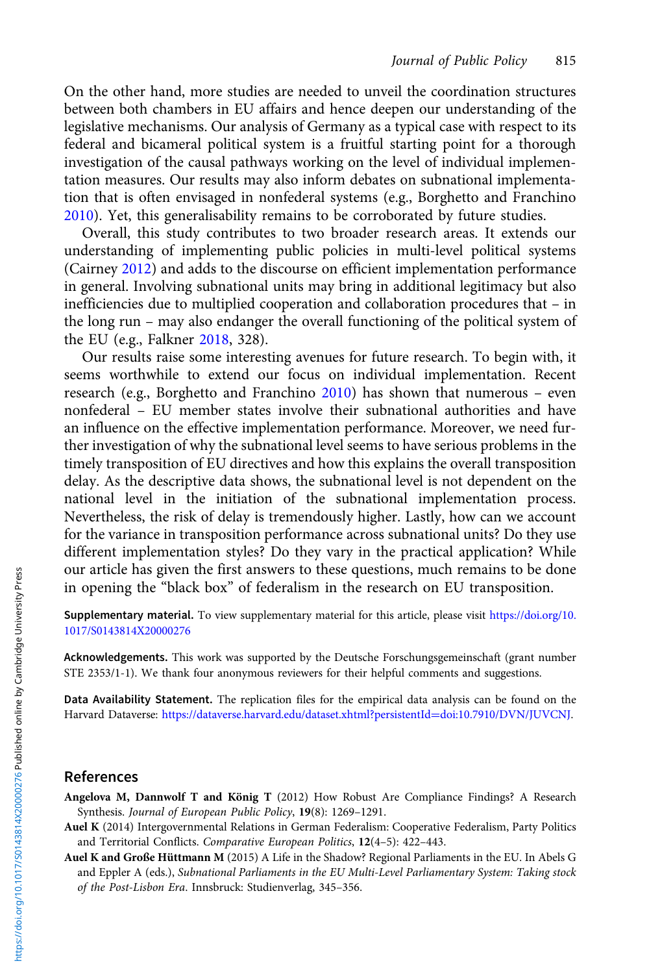On the other hand, more studies are needed to unveil the coordination structures between both chambers in EU affairs and hence deepen our understanding of the legislative mechanisms. Our analysis of Germany as a typical case with respect to its federal and bicameral political system is a fruitful starting point for a thorough investigation of the causal pathways working on the level of individual implementation measures. Our results may also inform debates on subnational implementation that is often envisaged in nonfederal systems (e.g., Borghetto and Franchino 2010). Yet, this generalisability remains to be corroborated by future studies.

Overall, this study contributes to two broader research areas. It extends our understanding of implementing public policies in multi-level political systems (Cairney 2012) and adds to the discourse on efficient implementation performance in general. Involving subnational units may bring in additional legitimacy but also inefficiencies due to multiplied cooperation and collaboration procedures that – in the long run – may also endanger the overall functioning of the political system of the EU (e.g., Falkner 2018, 328).

Our results raise some interesting avenues for future research. To begin with, it seems worthwhile to extend our focus on individual implementation. Recent research (e.g., Borghetto and Franchino 2010) has shown that numerous – even nonfederal – EU member states involve their subnational authorities and have an influence on the effective implementation performance. Moreover, we need further investigation of why the subnational level seems to have serious problems in the timely transposition of EU directives and how this explains the overall transposition delay. As the descriptive data shows, the subnational level is not dependent on the national level in the initiation of the subnational implementation process. Nevertheless, the risk of delay is tremendously higher. Lastly, how can we account for the variance in transposition performance across subnational units? Do they use different implementation styles? Do they vary in the practical application? While our article has given the first answers to these questions, much remains to be done in opening the "black box" of federalism in the research on EU transposition.

Supplementary material. To view supplementary material for this article, please visit [https://doi.org/10.](https://doi.org/10.1017/S0143814X20000276) [1017/S0143814X20000276](https://doi.org/10.1017/S0143814X20000276)

Acknowledgements. This work was supported by the Deutsche Forschungsgemeinschaft (grant number STE 2353/1-1). We thank four anonymous reviewers for their helpful comments and suggestions.

Data Availability Statement. The replication files for the empirical data analysis can be found on the Harvard Dataverse: [https://dataverse.harvard.edu/dataset.xhtml?persistentId](https://dataverse.harvard.edu/dataset.xhtml?persistentId%3ddoi:10.7910/DVN/JUVCNJ)=[doi:10.7910/DVN/JUVCNJ.](https://dataverse.harvard.edu/dataset.xhtml?persistentId%3ddoi:10.7910/DVN/JUVCNJ)

#### References

Angelova M, Dannwolf T and König T (2012) How Robust Are Compliance Findings? A Research Synthesis. Journal of European Public Policy, 19(8): 1269–1291.

- Auel K (2014) Intergovernmental Relations in German Federalism: Cooperative Federalism, Party Politics and Territorial Conflicts. Comparative European Politics, 12(4–5): 422–443.
- Auel K and Große Hüttmann M (2015) A Life in the Shadow? Regional Parliaments in the EU. In Abels G and Eppler A (eds.), Subnational Parliaments in the EU Multi-Level Parliamentary System: Taking stock of the Post-Lisbon Era. Innsbruck: Studienverlag, 345–356.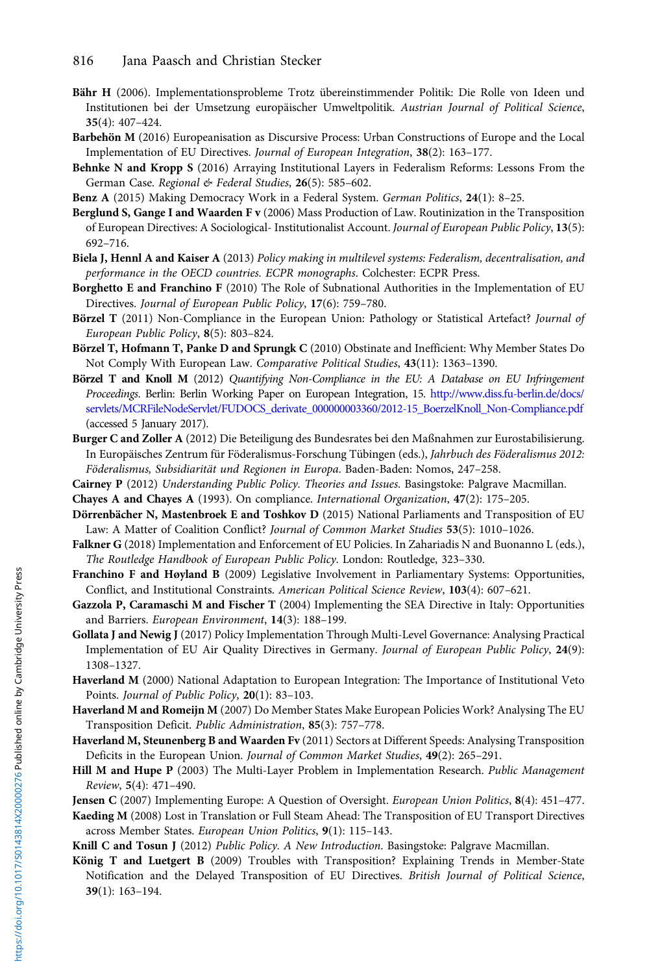- Bähr H (2006). Implementationsprobleme Trotz übereinstimmender Politik: Die Rolle von Ideen und Institutionen bei der Umsetzung europäischer Umweltpolitik. Austrian Journal of Political Science, 35(4): 407–424.
- Barbehön M (2016) Europeanisation as Discursive Process: Urban Constructions of Europe and the Local Implementation of EU Directives. Journal of European Integration, 38(2): 163–177.
- Behnke N and Kropp S (2016) Arraying Institutional Layers in Federalism Reforms: Lessons From the German Case. Regional & Federal Studies, 26(5): 585–602.
- Benz A (2015) Making Democracy Work in a Federal System. German Politics, 24(1): 8–25.
- Berglund S, Gange I and Waarden F v (2006) Mass Production of Law. Routinization in the Transposition of European Directives: A Sociological- Institutionalist Account. Journal of European Public Policy, 13(5): 692–716.
- Biela J, Hennl A and Kaiser A (2013) Policy making in multilevel systems: Federalism, decentralisation, and performance in the OECD countries. ECPR monographs. Colchester: ECPR Press.
- Borghetto E and Franchino F (2010) The Role of Subnational Authorities in the Implementation of EU Directives. Journal of European Public Policy, 17(6): 759–780.
- Börzel T (2011) Non-Compliance in the European Union: Pathology or Statistical Artefact? Journal of European Public Policy, 8(5): 803–824.
- Börzel T, Hofmann T, Panke D and Sprungk C (2010) Obstinate and Inefficient: Why Member States Do Not Comply With European Law. Comparative Political Studies, 43(11): 1363–1390.
- Börzel T and Knoll M (2012) Quantifying Non-Compliance in the EU: A Database on EU Infringement Proceedings. Berlin: Berlin Working Paper on European Integration, 15. [http://www.diss.fu-berlin.de/docs/](http://www.diss.fu-berlin.de/docs/servlets/MCRFileNodeServlet/FUDOCS_derivate_000000003360/2012-15_BoerzelKnoll_Non-Compliance.pdf) [servlets/MCRFileNodeServlet/FUDOCS\\_derivate\\_000000003360/2012-15\\_BoerzelKnoll\\_Non-Compliance.pdf](http://www.diss.fu-berlin.de/docs/servlets/MCRFileNodeServlet/FUDOCS_derivate_000000003360/2012-15_BoerzelKnoll_Non-Compliance.pdf) (accessed 5 January 2017).
- Burger C and Zoller A (2012) Die Beteiligung des Bundesrates bei den Maßnahmen zur Eurostabilisierung. In Europäisches Zentrum für Föderalismus-Forschung Tübingen (eds.), Jahrbuch des Föderalismus 2012: Föderalismus, Subsidiarität und Regionen in Europa. Baden-Baden: Nomos, 247–258.
- Cairney P (2012) Understanding Public Policy. Theories and Issues. Basingstoke: Palgrave Macmillan.
- Chayes A and Chayes A (1993). On compliance. International Organization, 47(2): 175–205.
- Dörrenbächer N, Mastenbroek E and Toshkov D (2015) National Parliaments and Transposition of EU Law: A Matter of Coalition Conflict? Journal of Common Market Studies 53(5): 1010–1026.
- Falkner G (2018) Implementation and Enforcement of EU Policies. In Zahariadis N and Buonanno L (eds.), The Routledge Handbook of European Public Policy. London: Routledge, 323–330.
- Franchino F and Høyland B (2009) Legislative Involvement in Parliamentary Systems: Opportunities, Conflict, and Institutional Constraints. American Political Science Review, 103(4): 607–621.
- Gazzola P, Caramaschi M and Fischer T (2004) Implementing the SEA Directive in Italy: Opportunities and Barriers. European Environment, 14(3): 188–199.
- Gollata J and Newig J (2017) Policy Implementation Through Multi-Level Governance: Analysing Practical Implementation of EU Air Quality Directives in Germany. Journal of European Public Policy, 24(9): 1308–1327.
- Haverland M (2000) National Adaptation to European Integration: The Importance of Institutional Veto Points. Journal of Public Policy, 20(1): 83–103.
- Haverland M and Romeijn M (2007) Do Member States Make European Policies Work? Analysing The EU Transposition Deficit. Public Administration, 85(3): 757–778.
- Haverland M, Steunenberg B and Waarden Fv (2011) Sectors at Different Speeds: Analysing Transposition Deficits in the European Union. Journal of Common Market Studies, 49(2): 265–291.
- Hill M and Hupe P (2003) The Multi-Layer Problem in Implementation Research. Public Management Review, 5(4): 471–490.
- Jensen C (2007) Implementing Europe: A Question of Oversight. European Union Politics, 8(4): 451-477.
- Kaeding M (2008) Lost in Translation or Full Steam Ahead: The Transposition of EU Transport Directives across Member States. European Union Politics, 9(1): 115–143.
- Knill C and Tosun J (2012) Public Policy. A New Introduction. Basingstoke: Palgrave Macmillan.
- König T and Luetgert B (2009) Troubles with Transposition? Explaining Trends in Member-State Notification and the Delayed Transposition of EU Directives. British Journal of Political Science, 39(1): 163–194.